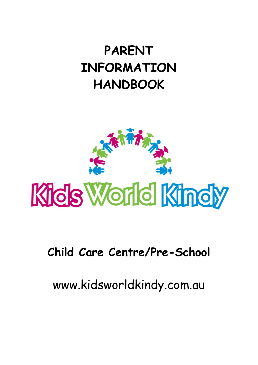# **PARENT INFORMATION HANDBOOK**



## **Child Care Centre/Pre-School**

www.kidsworldkindy.com.au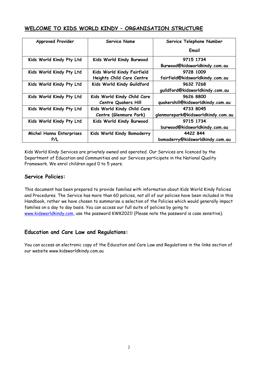## **WELCOME TO KIDS WORLD KINDY – ORGANISATION STRUCTURE**

| <b>Approved Provider</b> | <b>Service Name</b>         | Service Telephone Number           |
|--------------------------|-----------------------------|------------------------------------|
|                          |                             | Email                              |
| Kids World Kindy Pty Ltd | Kids World Kindy Burwood    | 9715 1734                          |
|                          |                             | Burwood@kidsworldkindy.com.au      |
| Kids World Kindy Pty Ltd | Kids World Kindy Fairfield  | 9728 1009                          |
|                          | Heights Child Care Centre   | fairfield@kidsworldkindy.com.au    |
| Kids World Kindy Pty Ltd | Kids World Kindy Guildford  | 9632 7268                          |
|                          |                             | guildford@kidsworldkindy.com.au    |
| Kids World Kindy Pty Ltd | Kids World Kindy Child Care | 9626 8800                          |
|                          | <b>Centre Quakers Hill</b>  | quakershill@kidsworldkindy.com.au  |
| Kids World Kindy Pty Ltd | Kids World Kindy Child Care | 4733 8045                          |
|                          | Centre (Glenmore Park)      | glenmorepark@kidsworldkindy.com.au |
| Kids World Kindy Pty Ltd | Kids World Kindy Burwood    | 9715 1734                          |
|                          |                             | burwood@kidsworldkindy.com.au      |
| Michel Hanna Enterprises | Kids World Kindy Bomaderry  | 4422 844                           |
| P/L                      |                             | bomaderry@kidsworldkindy.com.au    |

Kids World Kindy Services are privately owned and operated. Our Services are licenced by the Department of Education and Communities and our Services participate in the National Quality Framework. We enrol children aged 0 to 5 years.

## **Service Policies:**

This document has been prepared to provide families with information about Kids World Kindy Policies and Procedures. The Service has more than 60 policies, not all of our policies have been included in this Handbook, rather we have chosen to summarise a selection of the Policies which would generally impact families on a day to day basis. You can access our full suite of policies by going to [www.kidsworldkindy.com,](http://www.kidsworldkindy.com/) use the password KWK2021! (Please note the password is case sensitive).

## **Education and Care Law and Regulations:**

You can access an electronic copy of the Education and Care Law and Regulations in the links section of our website www.kidsworldkindy.com.au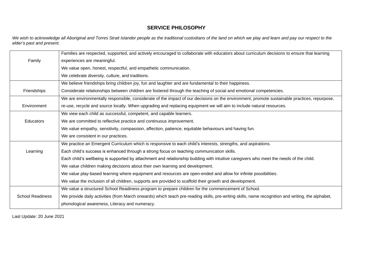## **SERVICE PHILOSOPHY**

*We wish to acknowledge all Aboriginal and Torres Strait Islander people as the traditional custodians of the land on which we play and learn and pay our respect to the elder's past and present.*

|                         | Families are respected, supported, and actively encouraged to collaborate with educators about curriculum decisions to ensure that learning      |
|-------------------------|--------------------------------------------------------------------------------------------------------------------------------------------------|
| Family                  | experiences are meaningful.                                                                                                                      |
|                         | We value open, honest, respectful, and empathetic communication.                                                                                 |
|                         | We celebrate diversity, culture, and traditions.                                                                                                 |
|                         | We believe friendships bring children joy, fun and laughter and are fundamental to their happiness.                                              |
| Friendships             | Considerate relationships between children are fostered through the teaching of social and emotional competencies.                               |
|                         | We are environmentally responsible, considerate of the impact of our decisions on the environment, promote sustainable practices, repurpose,     |
| Environment             | re-use, recycle and source locally. When upgrading and replacing equipment we will aim to include natural resources.                             |
|                         | We view each child as successful, competent, and capable learners.                                                                               |
| <b>Educators</b>        | We are committed to reflective practice and continuous improvement.                                                                              |
|                         | We value empathy, sensitivity, compassion, affection, patience, equitable behaviours and having fun.                                             |
|                         | We are consistent in our practices.                                                                                                              |
|                         | We practice an Emergent Curriculum which is responsive to each child's interests, strengths, and aspirations.                                    |
| Learning                | Each child's success is enhanced through a strong focus on teaching communication skills.                                                        |
|                         | Each child's wellbeing is supported by attachment and relationship building with intuitive caregivers who meet the needs of the child.           |
|                         | We value children making decisions about their own learning and development.                                                                     |
|                         | We value play-based learning where equipment and resources are open-ended and allow for infinite possibilities.                                  |
|                         | We value the inclusion of all children, supports are provided to scaffold their growth and development.                                          |
|                         | We value a structured School Readiness program to prepare children for the commencement of School.                                               |
| <b>School Readiness</b> | We provide daily activities (from March onwards) which teach pre-reading skills, pre-writing skills, name recognition and writing, the alphabet, |
|                         | phonological awareness, Literacy and numeracy.                                                                                                   |

Last Update: 20 June 2021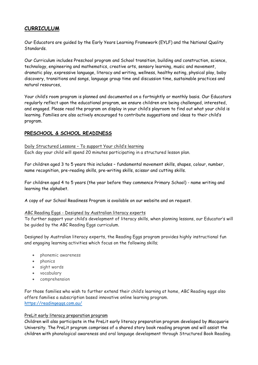## **CURRICULUM**

Our Educators are guided by the Early Years Learning Framework (EYLF) and the National Quality Standards.

Our Curriculum includes Preschool program and School transition, building and construction, science, technology, engineering and mathematics, creative arts, sensory learning, music and movement, dramatic play, expressive language, literacy and writing, wellness, healthy eating, physical play, baby discovery, transitions and songs, language group time and discussion time, sustainable practices and natural resources,

Your child's room program is planned and documented on a fortnightly or monthly basis. Our Educators regularly reflect upon the educational program, we ensure children are being challenged, interested, and engaged. Please read the program on display in your child's playroom to find out what your child is learning. Families are also actively encouraged to contribute suggestions and ideas to their child's program.

#### **PRESCHOOL & SCHOOL READINESS**

Daily Structured Lessons – To support Your child's learning Each day your child will spend 20 minutes participating in a structured lesson plan.

For children aged 3 to 5 years this includes – fundamental movement skills, shapes, colour, number, name recognition, pre-reading skills, pre-writing skills, scissor and cutting skills.

For children aged 4 to 5 years (the year before they commence Primary School) - name writing and learning the alphabet.

A copy of our School Readiness Program is available on our website and on request.

#### ABC Reading Eggs - Designed by Australian literacy experts

To further support your child's development of literacy skills, when planning lessons, our Educator's will be guided by the ABC Reading Eggs curriculum.

Designed by Australian literacy experts, the Reading Eggs program provides highly instructional fun and engaging learning activities which focus on the following skills;

- phonemic awareness
- phonics
- sight words
- vocabulary
- comprehension

For those families who wish to further extend their child's learning at home, ABC Reading eggs also offers families a subscription based innovative online learning program. <https://readingeggs.com.au/>

#### PreLit early literacy preparation program

Children will also participate in the PreLit early literacy preparation program developed by Macquarie University. The PreLit program comprises of a shared story book reading program and will assist the children with phonological awareness and oral language development through Structured Book Reading.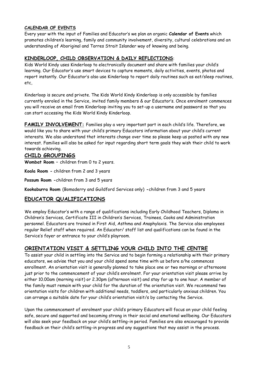#### **CALENDAR OF EVENTS**

Every year with the input of Families and Educator's we plan an organic **Calendar of Events** which promotes children's learning, family and community involvement, diversity, cultural celebrations and an understanding of Aboriginal and Torres Strait Islander way of knowing and being.

## **KINDERLOOP, CHILD OBSERVATION & DAILY REFLECTIONS**:

Kids World Kindy uses Kinderloop to electronically document and share with families your child's learning. Our Educator's use smart devices to capture moments, daily activities, events, photos and report instantly. Our Educator's also use Kinderloop to report daily routines such as eat/sleep routines, etc,

Kinderloop is secure and private. The Kids World Kindy Kinderloop is only accessible by families currently enroled in the Service, invited family members & our Educator's. Once enrolment commences you will receive an email from Kinderloop inviting you to set-up a username and password so that you can start accessing the Kids World Kindy Kinderloop.

**FAMILY INVOLVEMENT:** Families play a very important part in each child's life. Therefore, we would like you to share with your child's primary Educators information about your child's current interests. We also understand that interests change over time so please keep us posted with any new interest. Families will also be asked for input regarding short term goals they wish their child to work towards achieving.

## **CHILD GROUPINGS**

**Wombat Room –** children from 0 to 2 years.

**Koala Room -** children from 2 and 3 years

**Possum Room -**children from 3 and 5 years

**Kookaburra Room** (Bomaderry and Guildford Services only) **-**children from 3 and 5 years

## **EDUCATOR QUALIFICATIONS**

We employ Educator's with a range of qualifications including Early Childhood Teachers, Diploma in Children's Services, Certificate III in Children's Services, Trainees, Cooks and Administration personnel. Educators are trained in First Aid, Asthma and Anaphylaxis. The Service also employees regular Relief staff when required. An Educator/ staff list and qualifications can be found in the Service's foyer or entrance to your child's playroom.

## **ORIENTATION VISIT & SETTLING YOUR CHILD INTO THE CENTRE**

To assist your child in settling into the Service and to begin forming a relationship with their primary educators, we advise that you and your child spend some time with us before s/he commences enrollment. An orientation visit is generally planned to take place one or two mornings or afternoons just prior to the commencement of your child's enrolment. For your orientation visit please arrive by either 10.00am (morning visit) or 2.30pm (afternoon visit) and stay for up to one hour. A member of the family must remain with your child for the duration of the orientation visit. We recommend two orientation visits for children with additional needs, toddlers, and particularly anxious children. You can arrange a suitable date for your child's orientation visit/s by contacting the Service.

Upon the commencement of enrolment your child's primary Educators will focus on your child feeling safe, secure and supported and becoming strong in their social and emotional wellbeing. Our Educators will also seek your feedback on your child's settling-in period. Families are also encouraged to provide feedback on their child's settling-in progress and any suggestions that may assist in the process.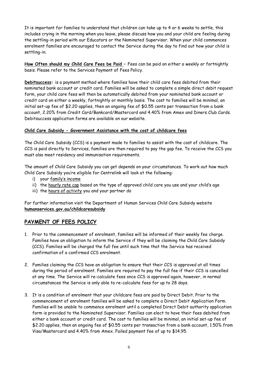It is important for families to understand that children can take up to 4 or 6 weeks to settle, this includes crying in the morning when you leave, please discuss how you and your child are feeling during the settling-in period with our Educators or the Nominated Supervisor. When your child commences enrolment families are encouraged to contact the Service during the day to find out how your child is settling-in.

**How Often should my Child Care Fees be Paid –** Fees can be paid on either a weekly or fortnightly basis. Please refer to the Services Payment of Fees Policy.

**Debitsuccess:** is a payment method where families have their child care fees debited from their nominated bank account or credit card. Families will be asked to complete a simple direct debit request form, your child care fees will then be automatically debited from your nominated bank account or credit card on either a weekly, fortnightly or monthly basis. The cost to families will be minimal, an initial set-up fee of \$2.20 applies, then an ongoing fee of \$0.55 cents per transaction from a bank account, 2.20% from Credit Card/Bankcard/Mastercard and 4.40% from Amex and Diners Club Cards. Debitsuccess application forms are available on our website.

#### **Child Care Subsidy - Government Assistance with the cost of childcare fees**

The Child Care Subsidy (CCS) is a payment made to families to assist with the cost of childcare. The CCS is paid directly to Services, families are then required to pay the gap fee. To receive the CCS you must also meet residency and immunisation requirements.

The amount of Child Care Subsidy you can get depends on your circumstances. To work out how much Child Care Subsidy you're eligible for Centrelink will look at the following:

- i) your [family's income](https://www.humanservices.gov.au/individuals/services/centrelink/child-care-subsidy/how-much-you-can-get/your-income-can-affect-it)
- ii) the [hourly rate cap](https://www.humanservices.gov.au/individuals/services/centrelink/child-care-subsidy/how-much-you-can-get/type-child-care-you-use-affects-it#hourlyrate) based on the type of approved child care you use and your child's age
- iii) the [hours of activity](https://www.humanservices.gov.au/individuals/services/centrelink/child-care-subsidy/how-much-you-can-get/your-activity-level-affects-it#hoursactivity) you and your partner do

For further information visit the Department of Human Services Child Care Subsidy website **humanservices.gov.au/childcaresubsidy**

## **PAYMENT OF FEES POLICY**

- 1. Prior to the commencement of enrolment, families will be informed of their weekly fee charge. Families have an obligation to inform the Service if they will be claiming the Child Care Subsidy (CCS). Families will be charged the full fee until such time that the Service has received confirmation of a confirmed CCS enrolment.
- 2. Families claiming the CCS have an obligation to ensure that their CCS is approved at all times during the period of enrolment. Families are required to pay the full fee if their CCS is cancelled at any time. The Service will re-calculate fees once CCS is approved again, however, in normal circumstances the Service is only able to re-calculate fees for up to 28 days.
- 3. It is a condition of enrolment that your childcare fees are paid by Direct Debit. Prior to the commencement of enrolment families will be asked to complete a Direct Debit Application Form. Families will be unable to commence enrolment until a completed Direct Debit authority application form is provided to the Nominated Supervisor. Families can elect to have their fees debited from either a bank account or credit card. The cost to families will be minimal, an initial set-up fee of \$2.20 applies, then an ongoing fee of \$0.55 cents per transaction from a bank account, 1.50% from Visa/Mastercard and 4.40% from Amex. Failed payment fee of up to \$14.95.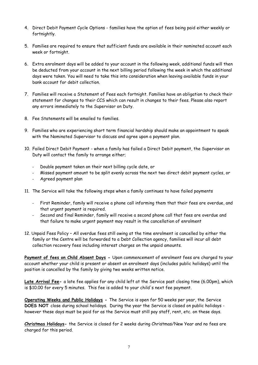- 4. Direct Debit Payment Cycle Options families have the option of fees being paid either weekly or fortnightly.
- 5. Families are required to ensure that sufficient funds are available in their nominated account each week or fortnight.
- 6. Extra enrolment days will be added to your account in the following week, additional funds will then be deducted from your account in the next billing period following the week in which the additional days were taken. You will need to take this into consideration when leaving available funds in your bank account for debit collection.
- 7. Families will receive a Statement of Fees each fortnight. Families have an obligation to check their statement for changes to their CCS which can result in changes to their fees. Please also report any errors immediately to the Supervisor on Duty.
- 8. Fee Statements will be emailed to families.
- 9. Families who are experiencing short term financial hardship should make an appointment to speak with the Nominated Supervisor to discuss and agree upon a payment plan.
- 10. Failed Direct Debit Payment when a family has failed a Direct Debit payment, the Supervisor on Duty will contact the family to arrange either;
	- Double payment taken on their next billing cycle date, or
	- Missed payment amount to be split evenly across the next two direct debit payment cycles, or
	- Agreed payment plan
- 11. The Service will take the following steps when a family continues to have failed payments
	- First Reminder, family will receive a phone call informing them that their fees are overdue, and that urgent payment is required.
	- Second and final Reminder, family will receive a second phone call that fees are overdue and that failure to make urgent payment may result in the cancellation of enrolment
- 12. Unpaid Fees Policy All overdue fees still owing at the time enrolment is cancelled by either the family or the Centre will be forwarded to a Debt Collection agency, families will incur all debt collection recovery fees including interest charges on the unpaid amounts.

Payment of fees on Child Absent Days - Upon commencement of enrolment fees are charged to your account whether your child is present or absent on enrolment days (includes public holidays) until the position is cancelled by the family by giving two weeks written notice.

**Late Arrival Fee-** a late fee applies for any child left at the Service past closing time (6.00pm), which is \$10.00 for every 5 minutes. This fee is added to your child's next fee payment.

**Operating Weeks and Public Holidays -** The Service is open for 50 weeks per year, the Service **DOES NOT** close during school holidays. During the year the Service is closed on public holidays however these days must be paid for as the Service must still pay staff, rent, etc. on these days.

**Christmas Holidays-** the Service is closed for 2 weeks during Christmas/New Year and no fees are charged for this period.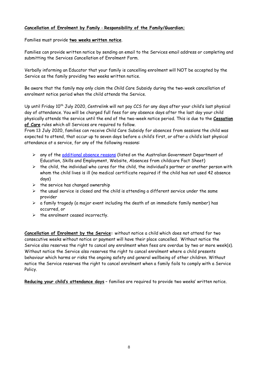#### **Cancellation of Enrolment by Family** - **Responsibility of the Family/Guardian;**

Families must provide **two weeks written notice**.

Families can provide written notice by sending an email to the Services email address or completing and submitting the Services Cancellation of Enrolment Form.

Verbally informing an Educator that your family is cancelling enrolment will NOT be accepted by the Service as the family providing two weeks written notice.

Be aware that the family may only claim the Child Care Subsidy during the two-week cancellation of enrolment notice period when the child attends the Service.

Up until Friday 10<sup>th</sup> July 2020, Centrelink will not pay CCS for any days after your child's last physical day of attendance. You will be charged full fees for any absence days after the last day your child physically attends the service until the end of the two-week notice period. This is due to the **Cessation of Care** rules which all Services are required to follow.

From 13 July 2020, families can receive Child Care Subsidy for absences from sessions the child was expected to attend, that occur up to seven days before a child's first, or after a child's last physical attendance at a service, for any of the following reasons:

- ➢ any of the [additional absence reasons](https://www.education.gov.au/child-care-provider-handbook/reporting-absences) (listed on the Australian Government Department of Education, Skills and Employment, Website, Absences from childcare Fact Sheet)
- $\triangleright$  the child, the individual who cares for the child, the individual's partner or another person with whom the child lives is ill (no medical certificate required if the child has not used 42 absence days)
- $\triangleright$  the service has changed ownership
- $\triangleright$  the usual service is closed and the child is attending a different service under the same provider
- $\triangleright$  a family tragedy (a major event including the death of an immediate family member) has occurred, or
- $\triangleright$  the enrolment ceased incorrectly.

**Cancellation of Enrolment by the Service:** without notice a child which does not attend for two consecutive weeks without notice or payment will have their place cancelled. Without notice the Service also reserves the right to cancel any enrolment when fees are overdue by two or more week(s). Without notice the Service also reserves the right to cancel enrolment where a child presents behaviour which harms or risks the ongoing safety and general wellbeing of other children. Without notice the Service reserves the right to cancel enrolment when a family fails to comply with a Service Policy.

**Reducing your child's attendance days** – families are required to provide two weeks' written notice.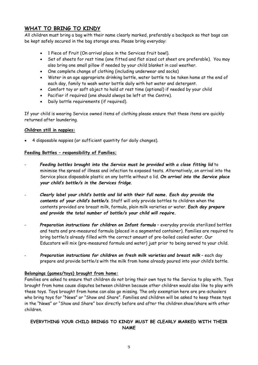## **WHAT TO BRING TO KINDY**

All children must bring a bag with their name clearly marked, preferably a backpack so that bags can be kept safely secured in the bag storage area. Please bring everyday:

- 1 Piece of Fruit (On arrival place in the Services fruit bowl).
- Set of sheets for rest time (one fitted and flat sized cot sheet are preferable). You may also bring one small pillow if needed by your child blanket in cool weather.
- One complete change of clothing (including underwear and socks)
- Water in an age appropriate drinking bottle, water bottle to be taken home at the end of each day, family to wash water bottle daily with hot water and detergent.
- Comfort toy or soft object to hold at rest time (optional) if needed by your child
- Pacifier if required (one should always be left at the Centre).
- Daily bottle requirements (if required).

If your child is wearing Service owned items of clothing please ensure that these items are quickly returned after laundering.

#### **Children still in nappies:**

• 4 disposable nappies (or sufficient quantity for daily changes).

#### **Feeding Bottles – responsibility of Families;**

- Feeding bottles brought into the Service must be provided with a close fitting lid to minimise the spread of illness and infection to exposed teats. Alternatively, on arrival into the Service place disposable plastic on any bottle without a lid. *On arrival into the Service place your child's bottle/s in the Services fridge*.
- *Clearly label your child's bottle and lid with their full name. Each day provide the contents of your child's bottle/s*. Staff will only provide bottles to children when the contents provided are breast milk, formula, plain milk varieties or water. *Each day prepare and provide the total number of bottle/s your child will require.*
- *Preparation instructions for children on Infant formula* everyday provide sterilized bottles and teats and pre-measured formula (placed in a segmented container). Families are required to bring bottle/s already filled with the correct amount of pre-boiled cooled water. Our Educators will mix (pre-measured formula and water) just prior to being served to your child.
- *Preparation instructions for children on fresh milk varieties and breast milk* each day prepare and provide bottle/s with the milk from home already poured into your child's bottle.

#### **Belongings (games/toys) brought from home:**

Families are asked to ensure that children do not bring their own toys to the Service to play with. Toys brought from home cause disputes between children because other children would also like to play with these toys. Toys brought from home can also go missing. The only exemption here are pre-schoolers who bring toys for "News" or "Show and Share". Families and children will be asked to keep these toys in the "News" or "Show and Share" box directly before and after the children show/share with other children.

#### **EVERYTHING YOUR CHILD BRINGS TO KINDY MUST BE CLEARLY MARKED WITH THEIR NAME**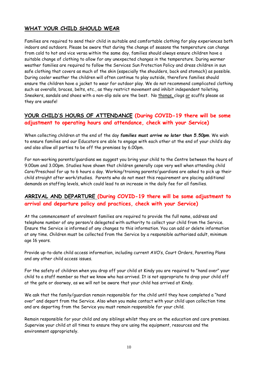## **WHAT YOUR CHILD SHOULD WEAR**

Families are required to send their child in suitable and comfortable clothing for play experiences both indoors and outdoors. Please be aware that during the change of seasons the temperature can change from cold to hot and vice versa within the same day, families should always ensure children have a suitable change of clothing to allow for any unexpected changes in the temperature. During warmer weather families are required to follow the Services Sun Protection Policy and dress children in sun safe clothing that covers as much of the skin (especially the shoulders, back and stomach) as possible. During cooler weather the children will often continue to play outside, therefore families should ensure the children have a jacket to wear for outdoor play. We do not recommend complicated clothing such as overalls, braces, belts, etc., as they restrict movement and inhibit independent toileting. Sneakers, sandals and shoes with a non-slip sole are the best. No thongs, clogs or scuffs please as they are unsafe!

## **YOUR CHILD'S HOURS OF ATTENDANCE (During COVID-19 there will be some adjustment to operating hours and attendance, check with your Service)**

When collecting children at the end of the day *families must arrive no later than 5.50pm*. We wish to ensure families and our Educators are able to engage with each other at the end of your child's day and also allow all parties to be off the premises by 6.00pm.

For non-working parents/guardians we suggest you bring your child to the Centre between the hours of 9.00am and 3.00pm. Studies have shown that children generally cope very well when attending child Care/Preschool for up to 6 hours a day. Working/training parents/guardians are asked to pick up their child straight after work/studies. Parents who do not meet this requirement are placing additional demands on staffing levels, which could lead to an increase in the daily fee for all families.

## **ARRIVAL AND DEPARTURE (During COVID-19 there will be some adjustment to arrival and departure policy and practices, check with your Service)**

At the commencement of enrolment families are required to provide the full name, address and telephone number of any person/s delegated with authority to collect your child from the Service. Ensure the Service is informed of any changes to this information. You can add or delete information at any time. Children must be collected from the Service by a responsible authorised adult, minimum age 16 years.

Provide up-to-date child access information, including current AVO's, Court Orders, Parenting Plans and any other child access issues.

For the safety of children when you drop off your child at Kindy you are required to "hand over" your child to a staff member so that we know who has arrived. It is not appropriate to drop your child off at the gate or doorway, as we will not be aware that your child has arrived at Kindy.

We ask that the family/guardian remain responsible for the child until they have completed a "hand over" and depart from the Service. Also when you make contact with your child upon collection time and are departing from the Service you must remain responsible for your child.

Remain responsible for your child and any siblings whilst they are on the education and care premises. Supervise your child at all times to ensure they are using the equipment, resources and the environment appropriately.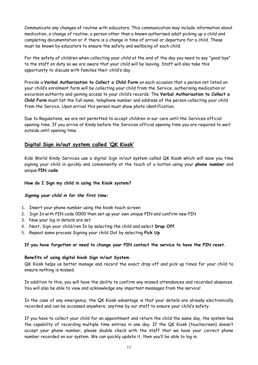Communicate any changes of routine with educators. This communication may include information about medication, a change of routine, a person other than a known authorised adult picking up a child and completing documentation or if there is a change in time of arrival or departure for a child. These must be known by educators to ensure the safety and wellbeing of each child.

For the safety of children when collecting your child at the end of the day you need to say "good bye" to the staff on duty so we are aware that your child will be leaving. Staff will also take this opportunity to discuss with families their child's day.

Provide a **Verbal Authorisation to Collect a Child Form** on each occasion that a person not listed on your child's enrolment form will be collecting your child from the Service, authorising medication or excursion authority and gaining access to your child's records. The **Verbal Authorisation to Collect a Child Form** must list the full name, telephone number and address of the person collecting your child from the Service. Upon arrival this person must show photo identification.

Due to Regulations, we are not permitted to accept children in our care until the Services official opening time. If you arrive at Kindy before the Services official opening time you are required to wait outside until opening time.

## **Digital Sign in/out system called 'QK Kiosk'**

Kids World Kindy Services use a digital Sign in/out system called QK Kiosk which will save you time signing your child in quickly and conveniently at the touch of a button using your **phone number** and unique **PIN code**.

#### **How do I Sign my child in using the Kiosk system?**

#### *Signing your child in for the first time:*

- 1. Insert your phone number using the kiosk touch screen
- 2. Sign In with PIN code 0000 then set up your own unique PIN and confirm new PIN
- 3. Now your log in details are set
- 4. Next, Sign your child/ren In by selecting the child and select **Drop Off**
- 5. Repeat same process Signing your child Out by selecting **Pick Up**

#### **If you have forgotten or need to change your PIN contact the service to have the PIN reset.**

#### **Benefits of using digital kiosk Sign in/out System**

QK Kiosk helps us better manage and record the exact drop off and pick up times for your child to ensure nothing is missed.

In addition to this, you will have the ability to confirm any missed attendances and recorded absences. You will also be able to view and acknowledge any important messages from the service!

In the case of any emergency, the QK Kiosk advantage is that your details are already electronically recorded and can be accessed anywhere, anytime by our staff to ensure your child's safety.

If you have to collect your child for an appointment and return the child the same day, the system has the capability of recording multiple time entries in one day. If the QK Kiosk (touchscreen) doesn't accept your phone number, please double check with the staff that we have your correct phone number recorded on our system. We can quickly update it, then you'll be able to log in.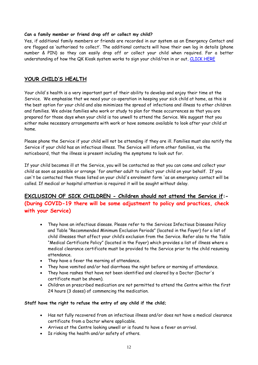#### **Can a family member or friend drop off or collect my child?**

Yes, if additional family members or friends are recorded in our system as an Emergency Contact and are flagged as 'authorised to collect'. The additional contacts will have their own log in details (phone number & PIN) so they can easily drop off or collect your child when required. For a better understanding of how the QK Kiosk system works to sign your child/ren in or out, [CLICK HERE](http://www.qikkids.com.au/training-hub/getting-started-with-qkkiosk/modue4.htm)

## **YOUR CHILD'S HEALTH**

Your child's health is a very important part of their ability to develop and enjoy their time at the Service. We emphasise that we need your co-operation in keeping your sick child at home, as this is the best option for your child and also minimizes the spread of infections and illness to other children and families. We advise families who work or study to plan for these occurrences so that you are prepared for those days when your child is too unwell to attend the Service. We suggest that you either make necessary arrangements with work or have someone available to look after your child at home.

Please phone the Service if your child will not be attending if they are ill. Families must also notify the Service if your child has an infectious illness. The Service will inform other families, via the noticeboard, that the illness is present including the symptoms to look out for.

If your child becomes ill at the Service, you will be contacted so that you can come and collect your child as soon as possible or arrange 'for another adult to collect your child on your behalf. If you can't be contacted then those listed on your child's enrolment form 'as an emergency contact will be called. If medical or hospital attention is required it will be sought without delay.

## **EXCLUSION OF SICK CHILDREN - Children should not attend the Service if:- (During COVID-19 there will be some adjustment to policy and practices, check with your Service)**

- They have an infectious disease. Please refer to the Services Infectious Diseases Policy and Table "Recommended Minimum Exclusion Periods" (located in the Foyer) for a list of child illnesses that affect your child's exclusion from the Service. Refer also to the Table "Medical Certificate Policy" (located in the Foyer) which provides a list of illness where a medical clearance certificate must be provided to the Service prior to the child resuming attendance.
- They have a fever the morning of attendance.
- They have vomited and/or had diarrhoea the night before or morning of attendance.
- They have rashes that have not been identified and cleared by a Doctor (Doctor's certificate must be shown).
- Children on prescribed medication are not permitted to attend the Centre within the first 24 hours (3 doses) of commencing the medication.

#### **Staff have the right to refuse the entry of any child if the child;**

- Has not fully recovered from an infectious illness and/or does not have a medical clearance certificate from a Doctor where applicable.
- Arrives at the Centre looking unwell or is found to have a fever on arrival.
- Is risking the health and/or safety of others.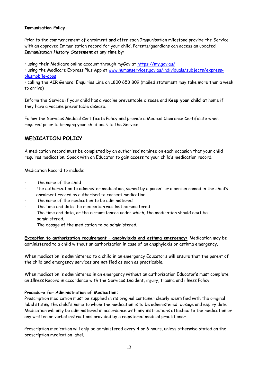#### **Immunisation Policy:**

Prior to the commencement of enrolment **and** after each Immunisation milestone provide the Service with an approved Immunisation record for your child. Parents/guardians can access an updated *Immunisation History Statement* at any time by:

• using their Medicare online account through myGov at<https://my.gov.au/>

• using the Medicare Express Plus App at [www.humanservices.gov.au/individuals/subjects/express](http://www.humanservices.gov.au/individuals/subjects/express-plusmobile-apps)[plusmobile-apps](http://www.humanservices.gov.au/individuals/subjects/express-plusmobile-apps)

• calling the AIR General Enquiries Line on 1800 653 809 (mailed statement may take more than a week to arrive)

Inform the Service if your child has a vaccine preventable disease and **Keep your child at** home if they have a vaccine preventable disease.

Follow the Services Medical Certificate Policy and provide a Medical Clearance Certificate when required prior to bringing your child back to the Service.

## **MEDICATION POLICY**

A medication record must be completed by an authorised nominee on each occasion that your child requires medication. Speak with an Educator to gain access to your child's medication record.

Medication Record to include;

- The name of the child
- The authorization to administer medication, signed by a parent or a person named in the child's enrolment record as authorised to consent medication.
- The name of the medication to be administered
- The time and date the medication was last administered
- The time and date, or the circumstances under which, the medication should next be administered.
- The dosage of the medication to be administered.

**Exception to authorization requirement – anaphylaxis and asthma emergency:** Medication may be administered to a child without an authorization in case of an anaphylaxis or asthma emergency.

When medication is administered to a child in an emergency Educator's will ensure that the parent of the child and emergency services are notified as soon as practicable;

When medication is administered in an emergency without an authorization Educator's must complete an Illness Record in accordance with the Services Incident, injury, trauma and illness Policy.

#### **Procedure for Administration of Medication:**

Prescription medication must be supplied in its original container clearly identified with the original label stating the child's name to whom the medication is to be administered, dosage and expiry date. Medication will only be administered in accordance with any instructions attached to the medication or any written or verbal instructions provided by a registered medical practitioner.

Prescription medication will only be administered every 4 or 6 hours, unless otherwise stated on the prescription medication label.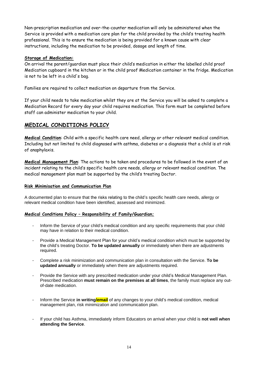Non-prescription medication and over-the-counter medication will only be administered when the Service is provided with a medication care plan for the child provided by the child's treating health professional. This is to ensure the medication is being provided for a known cause with clear instructions, including the medication to be provided, dosage and length of time.

#### **Storage of Medication:**

On arrival the parent/guardian must place their child's medication in either the labelled child proof Medication cupboard in the kitchen or in the child proof Medication container in the fridge. Medication is not to be left in a child's bag.

Families are required to collect medication on departure from the Service.

If your child needs to take medication whilst they are at the Service you will be asked to complete a Medication Record for every day your child requires medication. This form must be completed before staff can administer medication to your child.

## **MEDICAL CONDITIONS POLICY**

**Medical Condition**: Child with a specific health care need, allergy or other relevant medical condition. Including but not limited to child diagnosed with asthma, diabetes or a diagnosis that a child is at risk of anaphylaxis.

**Medical Management Plan**: The actions to be taken and procedures to be followed in the event of an incident relating to the child's specific health care needs, allergy or relevant medical condition. The medical management plan must be supported by the child's treating Doctor.

#### **Risk Minimisation and Communication Plan**

A documented plan to ensure that the risks relating to the child's specific health care needs, allergy or relevant medical condition have been identified, assessed and minimized.

#### **Medical Conditions Policy – Responsibility of Family/Guardian;**

- Inform the Service of your child's medical condition and any specific requirements that your child may have in relation to their medical condition.
- Provide a Medical Management Plan for your child's medical condition which must be supported by the child's treating Doctor. **To be updated annually** or immediately when there are adjustments required.
- Complete a risk minimization and communication plan in consultation with the Service. **To be updated annually** or immediately when there are adjustments required.
- Provide the Service with any prescribed medication under your child's Medical Management Plan. Prescribed medication **must remain on the premises at all times**, the family must replace any outof-date medication.
- Inform the Service **in writing/email** of any changes to your child's medical condition, medical management plan, risk minimization and communication plan.
- If your child has Asthma, immediately inform Educators on arrival when your child is **not well when attending the Service**.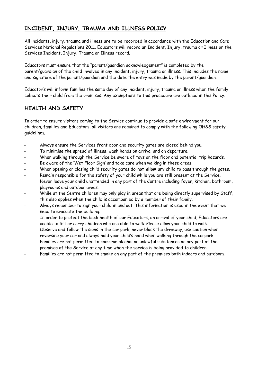## **INCIDENT, INJURY, TRAUMA AND ILLNESS POLICY**

All incidents, injury, trauma and illness are to be recorded in accordance with the Education and Care Services National Regulations 2011. Educators will record an Incident, Injury, trauma or Illness on the Services Incident, Injury, Trauma or Illness record.

Educators must ensure that the "parent/guardian acknowledgement" is completed by the parent/guardian of the child involved in any incident, injury, trauma or illness. This includes the name and signature of the parent/guardian and the date the entry was made by the parent/guardian.

Educator's will inform families the same day of any incident, injury, trauma or illness when the family collects their child from the premises. Any exemptions to this procedure are outlined in this Policy.

## **HEALTH AND SAFETY**

In order to ensure visitors coming to the Service continue to provide a safe environment for our children, families and Educators, all visitors are required to comply with the following OH&S safety guidelines;

- Always ensure the Services front door and security gates are closed behind you.
- To minimise the spread of illness, wash hands on arrival and on departure.
- When walking through the Service be aware of toys on the floor and potential trip hazards.
- Be aware of the 'Wet Floor Sign' and take care when walking in these areas.
- When opening or closing child security gates **do not allow** any child to pass through the gates.
- Remain responsible for the safety of your child while you are still present at the Service. Never leave your child unattended in any part of the Centre including foyer, kitchen, bathroom, playrooms and outdoor areas.
- While at the Centre children may only play in areas that are being directly supervised by Staff, this also applies when the child is accompanied by a member of their family.
- Always remember to sign your child in and out. This information is used in the event that we need to evacuate the building.
- In order to protect the back health of our Educators, on arrival of your child, Educators are unable to lift or carry children who are able to walk. Please allow your child to walk.
- Observe and follow the signs in the car park, never block the driveway, use caution when reversing your car and always hold your child's hand when walking through the carpark.
- Families are not permitted to consume alcohol or unlawful substances on any part of the premises of the Service at any time when the service is being provided to children.
- Families are not permitted to smoke on any part of the premises both indoors and outdoors.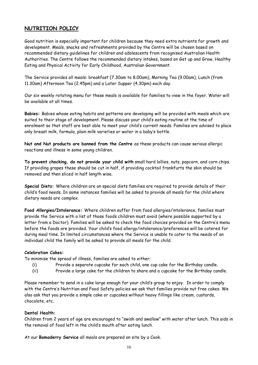## **NUTRITION POLICY**

Good nutrition is especially important for children because they need extra nutrients for growth and development. Meals, snacks and refreshments provided by the Centre will be chosen based on recommended dietary guidelines for children and adolescents from recognised Australian Health Authorities. The Centre follows the recommended dietary intakes, based on Get up and Grow, Healthy Eating and Physical Activity for Early Childhood, Australian Government.

The Service provides all meals: breakfast (7.30am to 8.00am), Morning Tea (9.00am), Lunch (from 11.30am) Afternoon Tea (2.45pm) and a Later Supper (4.30pm) each day.

Our six weekly rotating menu for these meals is available for families to view in the foyer. Water will be available at all times.

**Babies:** Babies whose eating habits and patterns are developing will be provided with meals which are suited to their stage of development. Please discuss your child's eating routine at the time of enrolment so that staff are best able to meet your child's current needs. Families are advised to place only breast milk, formula, plain milk varieties or water in a baby's bottle.

**Nut and Nut products are banned from the Centre** as these products can cause serious allergic reactions and illness in some young children.

**To prevent chocking, do not provide your child with** small hard lollies, nuts, popcorn, and corn chips. If providing grapes these should be cut in half, if providing cocktail frankfurts the skin should be removed and then sliced in half length wise.

**Special Diets:** Where children are on special diets families are required to provide details of their child's food needs. In some instances families will be asked to provide all meals for the child where dietary needs are complex.

**Food Allergies/Intolerance:** Where children suffer from food allergies/intolerance, families must provide the Service with a list of those foods children must avoid (where possible supported by a letter from a Doctor). Families will be asked to check the food choices provided on the Centre's menu before the foods are provided. Your child's food allergy/intolerance/preferences will be catered for during meal time. In limited circumstances where the Service is unable to cater to the needs of an individual child the family will be asked to provide all meals for the child.

#### **Celebration Cakes:**

To minimise the spread of illness, families are asked to either;

- (i) Provide a separate cupcake for each child, one cup cake for the Birthday candle.
- (ii) Provide a large cake for the children to share and a cupcake for the Birthday candle.

Please remember to send in a cake large enough for your child's group to enjoy. In order to comply with the Centre's Nutrition and Food Safety policies we ask that families provide nut free cakes. We also ask that you provide a simple cake or cupcakes without heavy fillings like cream, custards, chocolate, etc.

#### **Dental Health:**

Children from 2 years of age are encouraged to "swish and swallow" with water after lunch. This aids in the removal of food left in the child's mouth after eating lunch.

At our **Bomaderry Service** all meals are prepared on site by a Cook.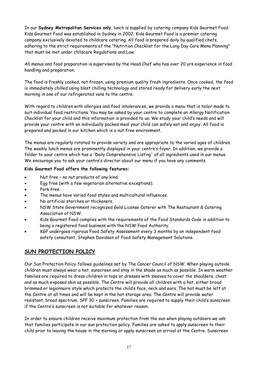In our **Sydney Metropolitan Services only**, lunch is supplied by catering company Kids Gourmet Food. Kids Gourmet Food was established in Sydney in 2002. Kids Gourmet Food is a premier catering company exclusively devoted to childcare catering. All food is prepared daily by qualified chefs, adhering to the strict requirements of the "Nutrition Checklist for the Long Day Care Menu Planning" that must be met under childcare Regulations and Law.

All menus and food preparation is supervised by the Head Chef who has over 20 yrs experience in food handling and preparation.

The food is freshly cooked, not frozen, using premium quality fresh ingredients. Once cooked, the food is immediately chilled using blast chilling technology and stored ready for delivery early the next morning in one of our refrigerated vans to the centre.

With regard to children with allergies and food intolerances, we provide a menu that is tailor made to suit individual food restrictions. You may be asked by your centre to complete an Allergy Notification Checklist for your child and this information is provided to us. We study your child's needs and will provide your centre with an individually packed meal your child can safely eat and enjoy. All food is prepared and packed in our kitchen which is a nut free environment.

The menus are regularly rotated to provide variety and are appropriate to the varied ages of children. The weekly lunch menus are prominently displayed in your centre's foyer. In addition, we provide a folder to your centre which has a 'Daily Comprehensive Listing' of all ingredients used in our menus. We encourage you to ask your centre's director about our menu if you have any comments.

#### **Kids Gourmet Food offers the following features:**

- Nut free no nut products of any kind.
- Egg free (with a few vegetarian alternative exceptions).
- Pork free.
- The menus have varied food styles and multicultural influences.
- No artificial starches or thickeners.
- NSW State Government recognized Gold License Caterer with The Restaurant & Catering Association of NSW.
- Kids Gourmet Food complies with the requirements of the Food Standards Code in addition to being a registered food business with the NSW Food Authority.
- KGF undergoes rigorous Food Safety Assessment every 3 months by an independent food safety consultant, Stephen Davidson of Food Safety Management Solutions.

## **SUN PROTECTION POLICY**

Our Sun Protection Policy follows guidelines set by The Cancer Council of NSW. When playing outside children must always wear a hat, sunscreen and stay in the shade as much as possible. In warm weather families are required to dress children in tops or dresses with sleeves to cover the shoulders, chest and as much exposed skin as possible. The Centre will provide all children with a hat, either broad brimmed or legionnaire style which protects the child's face, neck and ears. The hat must be left at the Centre at all times and will be kept in the hat storage area. The Centre will provide water resistant, broad spectrum, SPF 30 + sunscreen. Families are required to supply their child's sunscreen if the Centre's sunscreen is not suitable for whatever reason.

In order to ensure children receive maximum protection from the sun when playing outdoors we ask that families participate in our sun protection policy. Families are asked to apply sunscreen to their child prior to leaving the house in the morning or apply sunscreen on arrival at the Centre. Sunscreen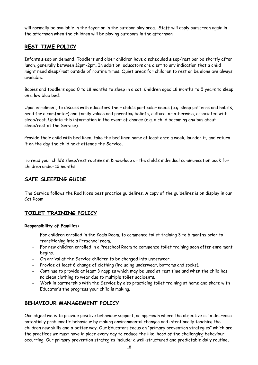will normally be available in the foyer or in the outdoor play area. Staff will apply sunscreen again in the afternoon when the children will be playing outdoors in the afternoon.

## **REST TIME POLICY**

Infants sleep on demand, Toddlers and older children have a scheduled sleep/rest period shortly after lunch, generally between 12pm-2pm. In addition, educators are alert to any indication that a child might need sleep/rest outside of routine times. Quiet areas for children to rest or be alone are always available.

Babies and toddlers aged 0 to 18 months to sleep in a cot. Children aged 18 months to 5 years to sleep on a low blue bed.

Upon enrolment, to discuss with educators their child's particular needs (e.g. sleep patterns and habits, need for a comforter) and family values and parenting beliefs, cultural or otherwise, associated with sleep/rest. Update this information in the event of change (e.g. a child becoming anxious about sleep/rest at the Service).

Provide their child with bed linen, take the bed linen home at least once a week, launder it, and return it on the day the child next attends the Service.

To read your child's sleep/rest routines in Kinderloop or the child's individual communication book for children under 12 months.

## **SAFE SLEEPING GUIDE**

The Service follows the Red Nose best practice guidelines. A copy of the guidelines is on display in our Cot Room

## **TOILET TRAINING POLICY**

#### **Responsibility of Families:**

- For children enrolled in the Koala Room, to commence toilet training 3 to 6 months prior to transitioning into a Preschool room.
- For new children enrolled in a Preschool Room to commence toilet training soon after enrolment begins.
- **-** On arrival at the Service children to be changed into underwear.
- **-** Provide at least 6 change of clothing (including underwear, bottoms and socks).
- **-** Continue to provide at least 3 nappies which may be used at rest time and when the child has no clean clothing to wear due to multiple toilet accidents.
- **-** Work in partnership with the Service by also practicing toilet training at home and share with Educator's the progress your child is making.

## **BEHAVIOUR MANAGEMENT POLICY**

Our objective is to provide positive behaviour support, an approach where the objective is to decrease potentially problematic behaviour by making environmental changes and intentionally teaching the children new skills and a better way. Our Educators focus on "primary prevention strategies" which are the practices we must have in place every day to reduce the likelihood of the challenging behaviour occurring. Our primary prevention strategies include; a well-structured and predictable daily routine,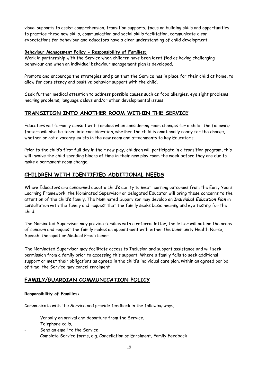visual supports to assist comprehension, transition supports, focus on building skills and opportunities to practice these new skills, communication and social skills facilitation, communicate clear expectations for behaviour and educators have a clear understanding of child development.

#### **Behaviour Management Policy - Responsibility of Families;**

Work in partnership with the Service when children have been identified as having challenging behaviour and when an individual behaviour management plan is developed.

Promote and encourage the strategies and plan that the Service has in place for their child at home, to allow for consistency and positive behavior support with the child.

Seek further medical attention to address possible causes such as food allergies, eye sight problems, hearing problems, language delays and/or other developmental issues.

## **TRANSITION INTO ANOTHER ROOM WITHIN THE SERVICE**

Educators will formally consult with families when considering room changes for a child. The following factors will also be taken into consideration, whether the child is emotionally ready for the change, whether or not a vacancy exists in the new room and attachments to key Educator's.

Prior to the child's first full day in their new play, children will participate in a transition program, this will involve the child spending blocks of time in their new play room the week before they are due to make a permanent room change.

## **CHILDREN WITH IDENTIFIED ADDITIONAL NEEDS**

Where Educators are concerned about a child's ability to meet learning outcomes from the Early Years Learning Framework, the Nominated Supervisor or delegated Educator will bring these concerns to the attention of the child's family. The Nominated Supervisor may develop an *Individual Education Plan* in consultation with the family and request that the family seeks basic hearing and eye testing for the child.

The Nominated Supervisor may provide families with a referral letter, the letter will outline the areas of concern and request the family makes an appointment with either the Community Health Nurse, Speech Therapist or Medical Practitioner.

The Nominated Supervisor may facilitate access to Inclusion and support assistance and will seek permission from a family prior to accessing this support. Where a family fails to seek additional support or meet their obligations as agreed in the child's individual care plan, within an agreed period of time, the Service may cancel enrolment

## **FAMILY/GUARDIAN COMMUNICATION POLICY**

#### **Responsibility of Families:**

Communicate with the Service and provide feedback in the following ways;

- Verbally on arrival and departure from the Service.
- Telephone calls.
- Send an email to the Service
- Complete Service forms, e.g. Cancellation of Enrolment, Family Feedback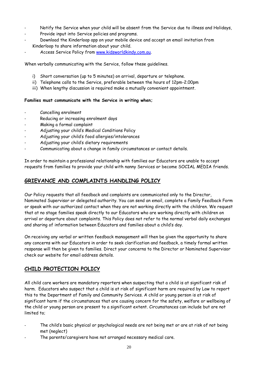- Notify the Service when your child will be absent from the Service due to illness and Holidays,
- Provide input into Service policies and programs.
- Download the Kinderloop app on your mobile device and accept an email invitation from Kinderloop to share information about your child.
- Access Service Policy from [www.kidsworldkindy.com.au.](http://www.kidsworldkindy.com.au/)

When verbally communicating with the Service, follow these guidelines.

- i) Short conversation (up to 5 minutes) on arrival, departure or telephone.
- ii) Telephone calls to the Service, preferable between the hours of 12pm-2.00pm
- iii) When lengthy discussion is required make a mutually convenient appointment.

#### **Families must communicate with the Service in writing when;**

- Cancelling enrolment
- Reducing or increasing enrolment days
- Making a formal complaint
- Adjusting your child's Medical Conditions Policy
- Adjusting your child's food allergies/intolerances
- Adjusting your child's dietary requirements
- Communicating about a change in family circumstances or contact details.

In order to maintain a professional relationship with families our Educators are unable to accept requests from families to provide your child with nanny Services or become SOCIAL MEDIA friends.

## **GRIEVANCE AND COMPLAINTS HANDLING POLICY**

Our Policy requests that all feedback and complaints are communicated only to the Director, Nominated Supervisor or delegated authority. You can send an email, complete a Family Feedback Form or speak with our authorized contact when they are not working directly with the children. We request that at no stage families speak directly to our Educators who are working directly with children on arrival or departure about complaints. This Policy does not refer to the normal verbal daily exchanges and sharing of information between Educators and families about a child's day.

On receiving any verbal or written feedback management will then be given the opportunity to share any concerns with our Educators in order to seek clarification and feedback, a timely formal written response will then be given to families. Direct your concerns to the Director or Nominated Supervisor check our website for email address details.

## **CHILD PROTECTION POLICY**

All child care workers are mandatory reporters when suspecting that a child is at significant risk of harm. Educators who suspect that a child is at risk of significant harm are required by Law to report this to the Department of Family and Community Services. A child or young person is at risk of significant harm if the circumstances that are causing concern for the safety, welfare or wellbeing of the child or young person are present to a significant extent. Circumstances can include but are not limited to;

- The child's basic physical or psychological needs are not being met or are at risk of not being met (neglect)
- The parents/caregivers have not arranged necessary medical care.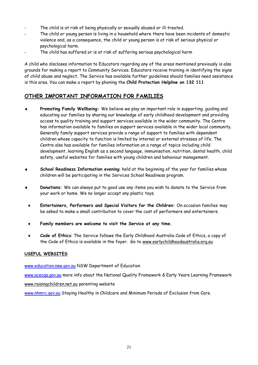- The child is at risk of being physically or sexually abused or ill-treated.
- The child or young person is living in a household where there have been incidents of domestic violence and, as a consequence, the child or young person is at risk of serious physical or psychological harm.
- The child has suffered or is at risk of suffering serious psychological harm

A child who discloses information to Educators regarding any of the areas mentioned previously is also grounds for making a report to Community Services. Educators receive training in identifying the signs of child abuse and neglect. The Service has available further guidelines should families need assistance is this area. You can make a report by phoning the **Child Protection Helpline on 132 111**

## **OTHER IMPORTANT INFORMATION FOR FAMILIES**

- **Promoting Family Wellbeing:** We believe we play an important role in supporting, guiding and educating our families by sharing our knowledge of early childhood development and providing access to quality training and support services available in the wider community. The Centre has information available to families on support services available in the wider local community. Generally family support services provide a range of support to families with dependent children whose capacity to function is limited by internal or external stresses of life. The Centre also has available for families information on a range of topics including child development, learning English as a second language, immunisation, nutrition, dental health, child safety, useful websites for families with young children and behaviour management.
- **School Readiness Information evening**: held at the beginning of the year for families whose children will be participating in the Services School Readiness program.
- **Donations:** We can always put to good use any items you wish to donate to the Service from your work or home. We no longer accept any plastic toys.
- **Entertainers, Performers and Special Visitors for the Children:** On occasion families may be asked to make a small contribution to cover the cost of performers and entertainers.
- **Family members are welcome to visit the Service at any time.**
- **Code of Ethics**: The Service follows the Early Childhood Australia Code of Ethics, a copy of the Code of Ethics is available in the foyer. Go to [www.earlychildhoodaustralia.org.au](http://www.earlychildhoodaustralia.org.au/)

#### **USEFUL WEBSITES**

[www.education.nsw.gov.au](http://www.education.nsw.gov.au/) NSW Department of Education

[www.acecqa.gov.au](http://www.acecqa.gov.au/) more info about the National Quality Framework & Early Years Learning Framework [www.raisingchildren.net.au](http://www.raisingchildren.net.au/) parenting website

[www.nhmrc.gov.au](http://www.nhmrc.gov.au/) Staying Healthy in Childcare and Minimum Periods of Exclusion from Care.